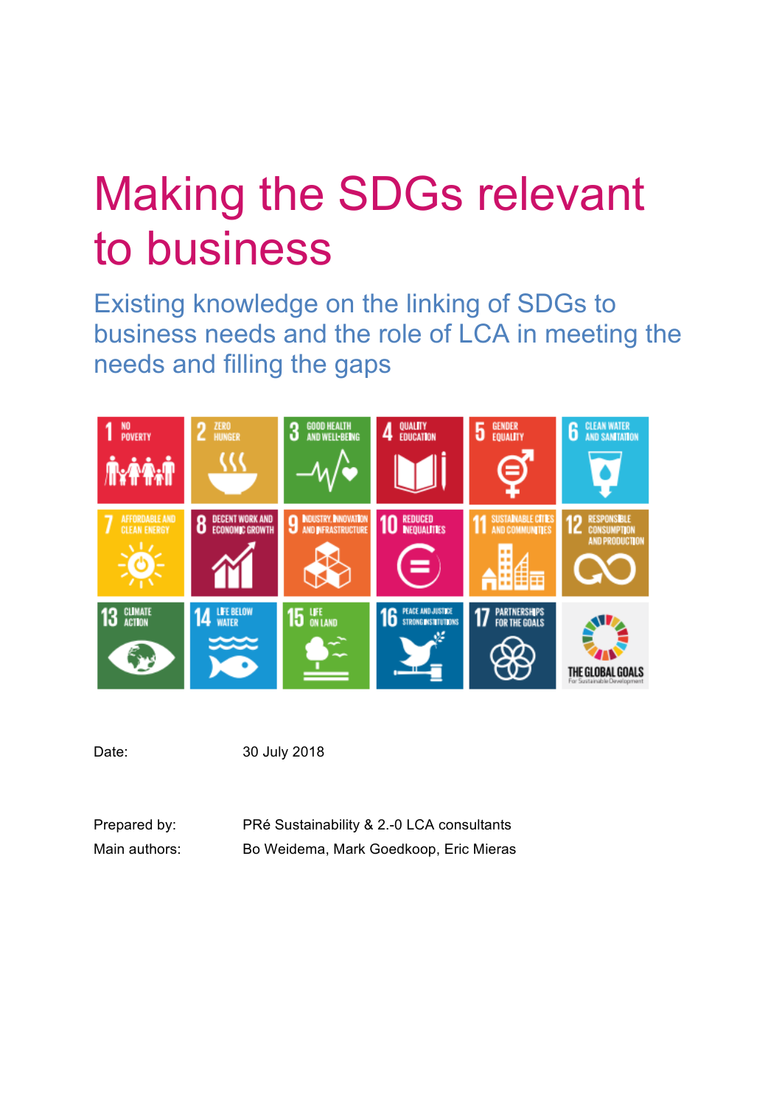# Making the SDGs relevant to business

Existing knowledge on the linking of SDGs to business needs and the role of LCA in meeting the needs and filling the gaps



Date: 30 July 2018

| Prepared by:  | PRé Sustainability & 2.-0 LCA consultants |
|---------------|-------------------------------------------|
| Main authors: | Bo Weidema, Mark Goedkoop, Eric Mieras    |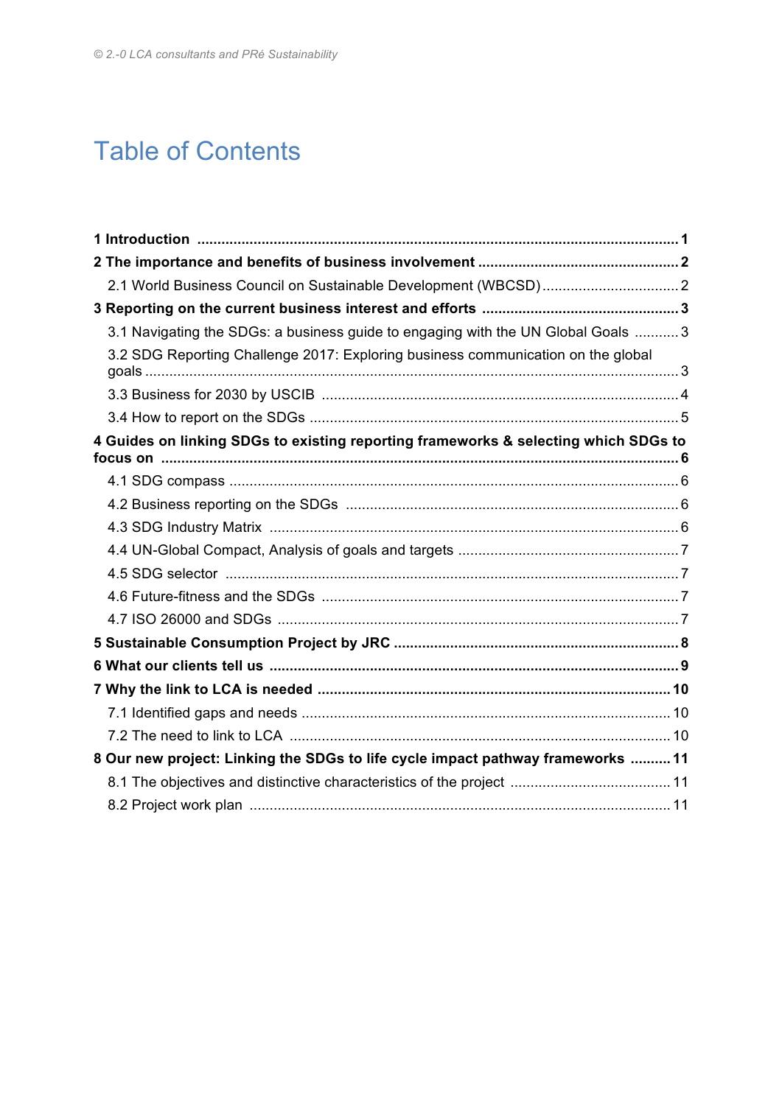## Table of Contents

| 3.1 Navigating the SDGs: a business guide to engaging with the UN Global Goals  3   |  |
|-------------------------------------------------------------------------------------|--|
| 3.2 SDG Reporting Challenge 2017: Exploring business communication on the global    |  |
|                                                                                     |  |
|                                                                                     |  |
| 4 Guides on linking SDGs to existing reporting frameworks & selecting which SDGs to |  |
|                                                                                     |  |
|                                                                                     |  |
|                                                                                     |  |
|                                                                                     |  |
|                                                                                     |  |
|                                                                                     |  |
|                                                                                     |  |
|                                                                                     |  |
|                                                                                     |  |
|                                                                                     |  |
|                                                                                     |  |
|                                                                                     |  |
| 8 Our new project: Linking the SDGs to life cycle impact pathway frameworks  11     |  |
|                                                                                     |  |
|                                                                                     |  |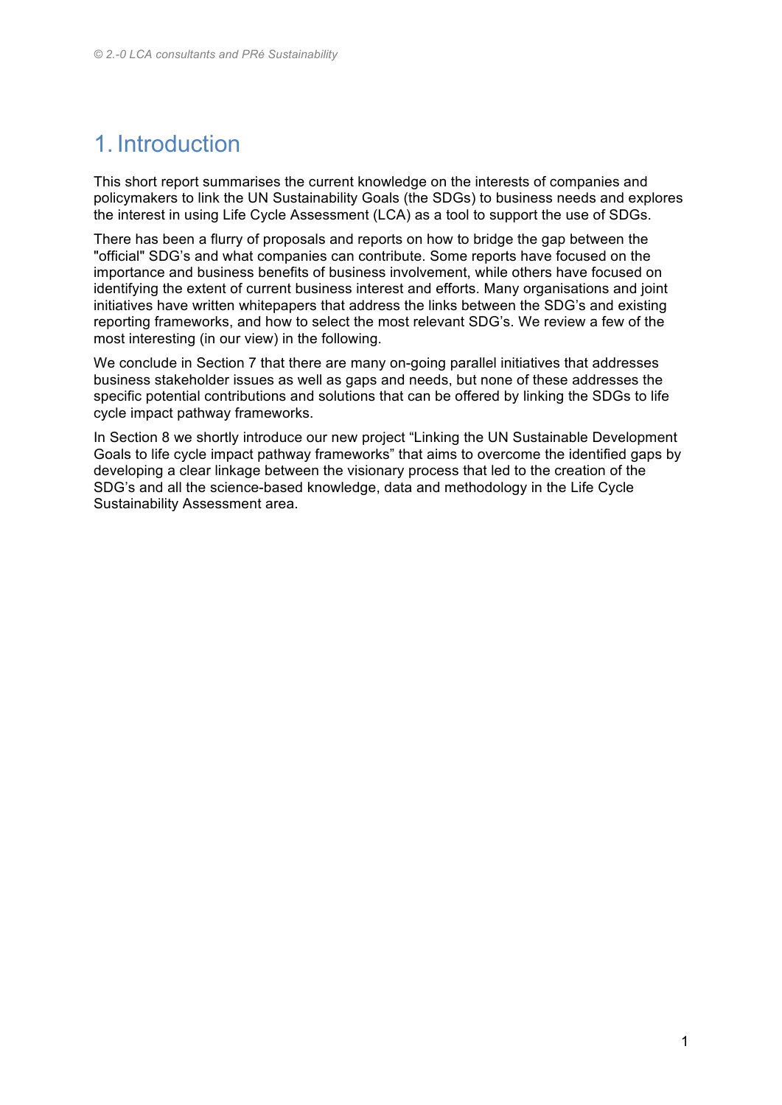### 1. Introduction

This short report summarises the current knowledge on the interests of companies and policymakers to link the UN Sustainability Goals (the SDGs) to business needs and explores the interest in using Life Cycle Assessment (LCA) as a tool to support the use of SDGs.

There has been a flurry of proposals and reports on how to bridge the gap between the "official" SDG's and what companies can contribute. Some reports have focused on the importance and business benefits of business involvement, while others have focused on identifying the extent of current business interest and efforts. Many organisations and joint initiatives have written whitepapers that address the links between the SDG's and existing reporting frameworks, and how to select the most relevant SDG's. We review a few of the most interesting (in our view) in the following.

We conclude in Section 7 that there are many on-going parallel initiatives that addresses business stakeholder issues as well as gaps and needs, but none of these addresses the specific potential contributions and solutions that can be offered by linking the SDGs to life cycle impact pathway frameworks.

In Section 8 we shortly introduce our new project "Linking the UN Sustainable Development Goals to life cycle impact pathway frameworks" that aims to overcome the identified gaps by developing a clear linkage between the visionary process that led to the creation of the SDG's and all the science-based knowledge, data and methodology in the Life Cycle Sustainability Assessment area.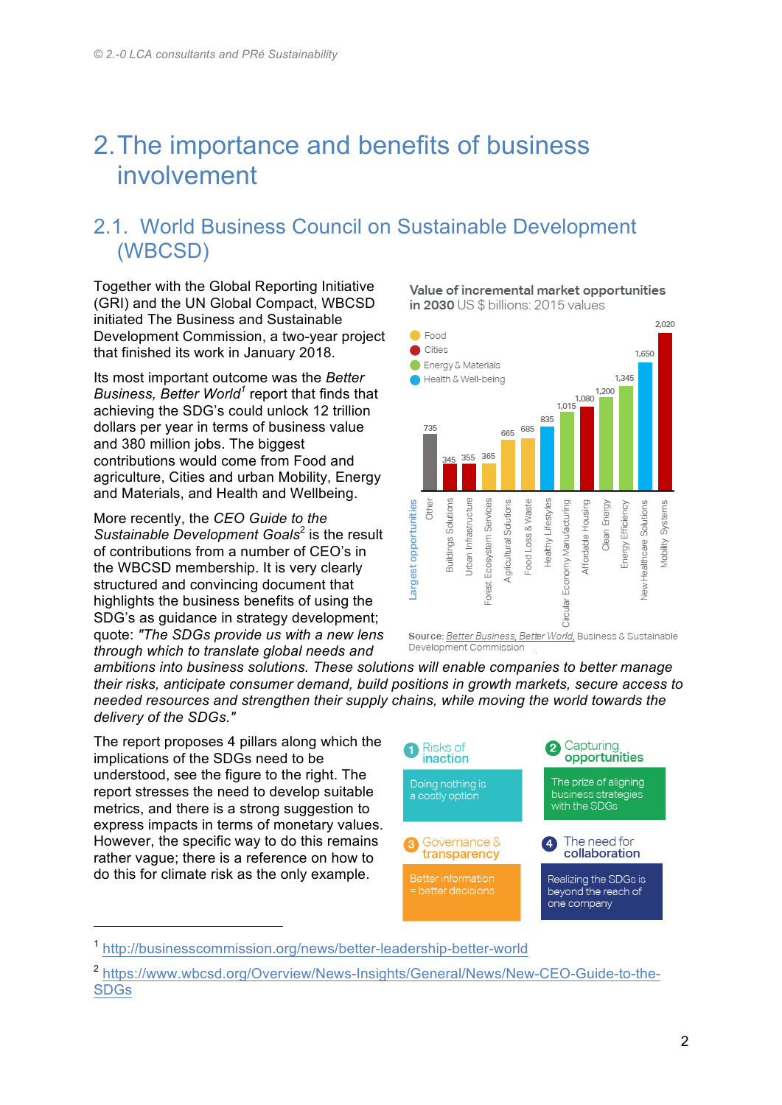### 2.The importance and benefits of business involvement

#### 2.1. World Business Council on Sustainable Development (WBCSD)

Together with the Global Reporting Initiative (GRI) and the UN Global Compact, WBCSD initiated The Business and Sustainable Development Commission, a two-year project that finished its work in January 2018.

Its most important outcome was the *Better Business, Better World<sup>1</sup>* report that finds that achieving the SDG's could unlock 12 trillion dollars per year in terms of business value and 380 million jobs. The biggest contributions would come from Food and agriculture, Cities and urban Mobility, Energy and Materials, and Health and Wellbeing.

More recently, the *CEO Guide to the Sustainable Development Goals*<sup>2</sup> is the result of contributions from a number of CEO's in the WBCSD membership. It is very clearly structured and convincing document that highlights the business benefits of using the SDG's as guidance in strategy development; quote: *"The SDGs provide us with a new lens through which to translate global needs and* 

Value of incremental market opportunities in 2030 US \$ billions: 2015 values



*ambitions into business solutions. These solutions will enable companies to better manage their risks, anticipate consumer demand, build positions in growth markets, secure access to needed resources and strengthen their supply chains, while moving the world towards the delivery of the SDGs."* 

The report proposes 4 pillars along which the implications of the SDGs need to be understood, see the figure to the right. The report stresses the need to develop suitable metrics, and there is a strong suggestion to express impacts in terms of monetary values. However, the specific way to do this remains rather vague; there is a reference on how to do this for climate risk as the only example.



<sup>1</sup> http://businesscommission.org/news/better-leadership-better-world

<sup>2</sup> https://www.wbcsd.org/Overview/News-Insights/General/News/New-CEO-Guide-to-the-SDGs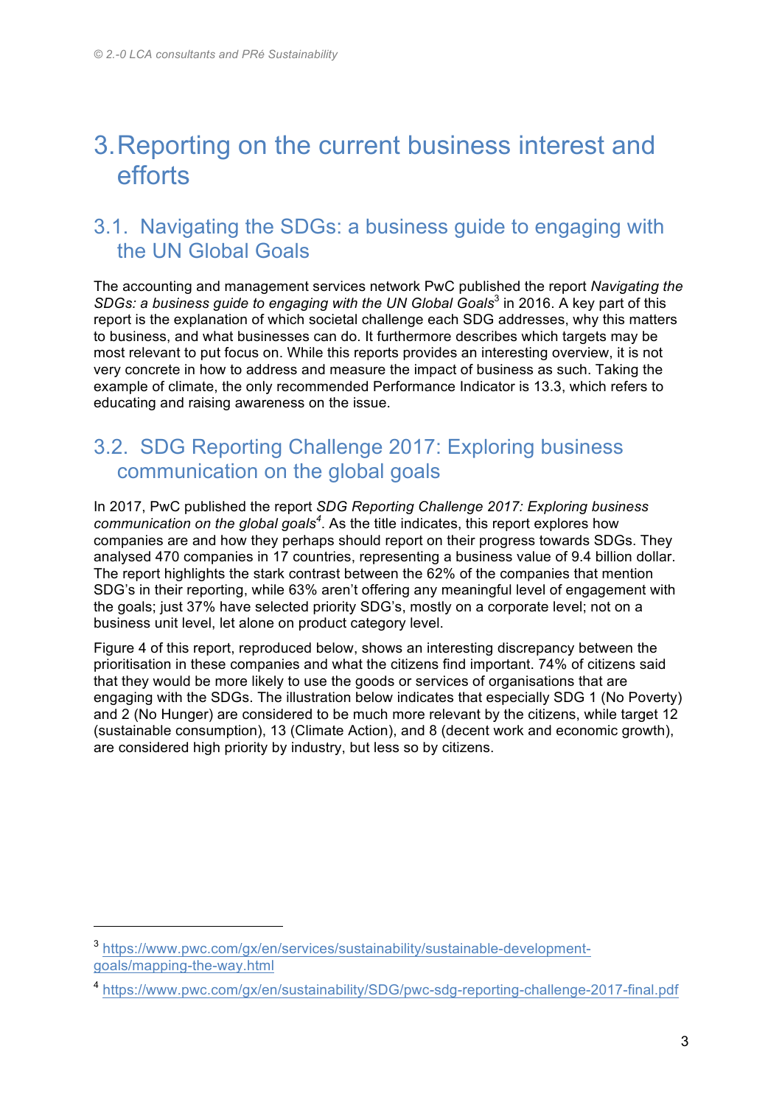### 3.Reporting on the current business interest and efforts

#### 3.1. Navigating the SDGs: a business guide to engaging with the UN Global Goals

The accounting and management services network PwC published the report *Navigating the SDGs: a business guide to engaging with the UN Global Goals<sup>3</sup> in 2016. A key part of this* report is the explanation of which societal challenge each SDG addresses, why this matters to business, and what businesses can do. It furthermore describes which targets may be most relevant to put focus on. While this reports provides an interesting overview, it is not very concrete in how to address and measure the impact of business as such. Taking the example of climate, the only recommended Performance Indicator is 13.3, which refers to educating and raising awareness on the issue.

#### 3.2. SDG Reporting Challenge 2017: Exploring business communication on the global goals

In 2017, PwC published the report *SDG Reporting Challenge 2017: Exploring business communication on the global goals<sup>4</sup>* . As the title indicates, this report explores how companies are and how they perhaps should report on their progress towards SDGs. They analysed 470 companies in 17 countries, representing a business value of 9.4 billion dollar. The report highlights the stark contrast between the 62% of the companies that mention SDG's in their reporting, while 63% aren't offering any meaningful level of engagement with the goals; just 37% have selected priority SDG's, mostly on a corporate level; not on a business unit level, let alone on product category level.

Figure 4 of this report, reproduced below, shows an interesting discrepancy between the prioritisation in these companies and what the citizens find important. 74% of citizens said that they would be more likely to use the goods or services of organisations that are engaging with the SDGs. The illustration below indicates that especially SDG 1 (No Poverty) and 2 (No Hunger) are considered to be much more relevant by the citizens, while target 12 (sustainable consumption), 13 (Climate Action), and 8 (decent work and economic growth), are considered high priority by industry, but less so by citizens.

<sup>3</sup> https://www.pwc.com/gx/en/services/sustainability/sustainable-developmentgoals/mapping-the-way.html

<sup>4</sup> https://www.pwc.com/gx/en/sustainability/SDG/pwc-sdg-reporting-challenge-2017-final.pdf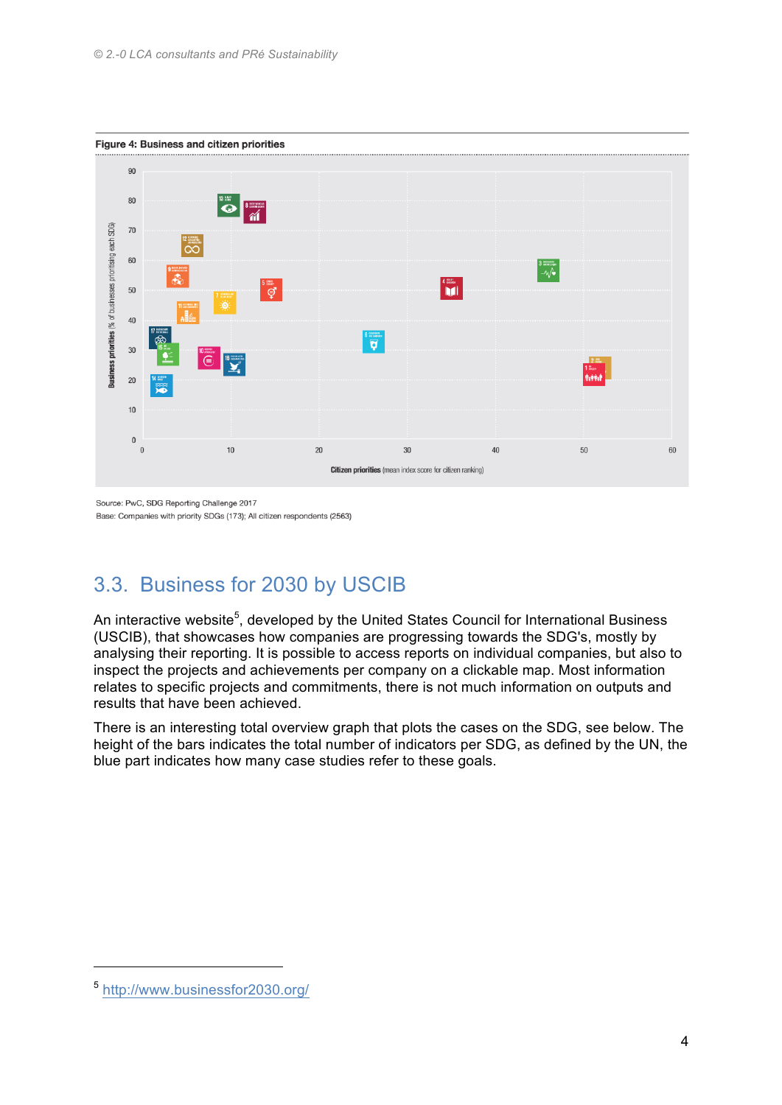

Source: PwC, SDG Reporting Challenge 2017 Base: Companies with priority SDGs (173); All citizen respondents (2563)

#### 3.3. Business for 2030 by USCIB

An interactive website<sup>5</sup>, developed by the United States Council for International Business (USCIB), that showcases how companies are progressing towards the SDG's, mostly by analysing their reporting. It is possible to access reports on individual companies, but also to inspect the projects and achievements per company on a clickable map. Most information relates to specific projects and commitments, there is not much information on outputs and results that have been achieved.

There is an interesting total overview graph that plots the cases on the SDG, see below. The height of the bars indicates the total number of indicators per SDG, as defined by the UN, the blue part indicates how many case studies refer to these goals.

<sup>5</sup> http://www.businessfor2030.org/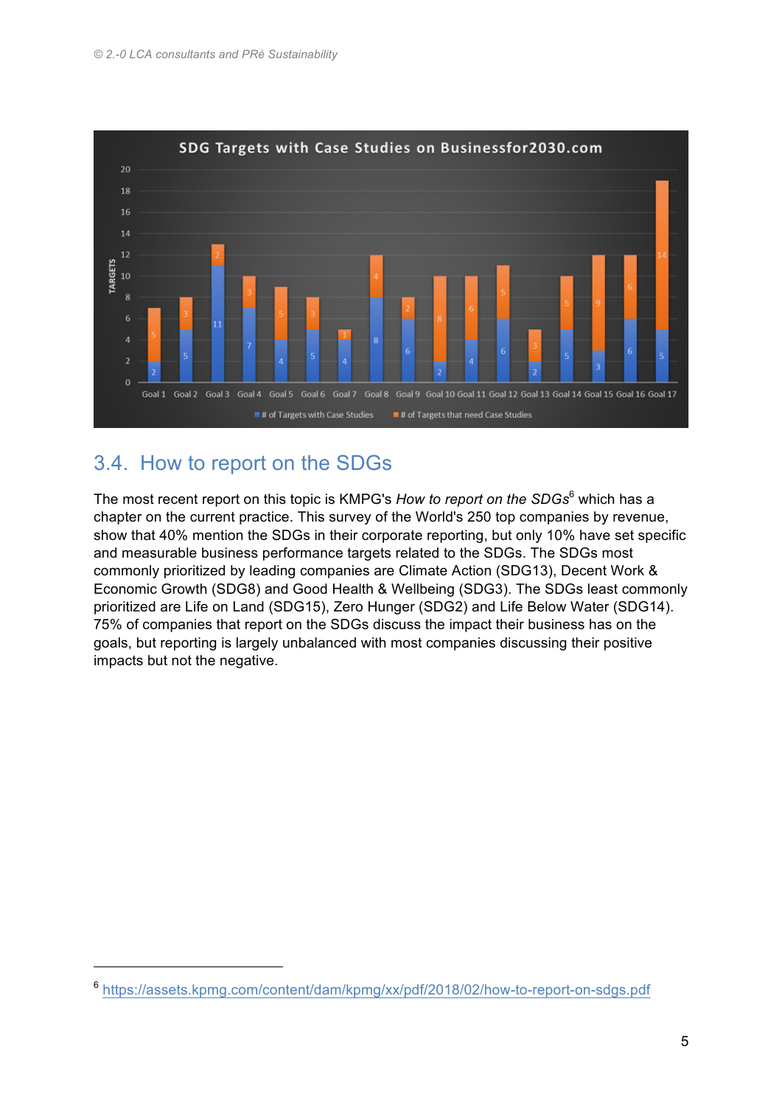

#### 3.4. How to report on the SDGs

The most recent report on this topic is KMPG's *How to report on the SDGs*<sup>6</sup> which has a chapter on the current practice. This survey of the World's 250 top companies by revenue, show that 40% mention the SDGs in their corporate reporting, but only 10% have set specific and measurable business performance targets related to the SDGs. The SDGs most commonly prioritized by leading companies are Climate Action (SDG13), Decent Work & Economic Growth (SDG8) and Good Health & Wellbeing (SDG3). The SDGs least commonly prioritized are Life on Land (SDG15), Zero Hunger (SDG2) and Life Below Water (SDG14). 75% of companies that report on the SDGs discuss the impact their business has on the goals, but reporting is largely unbalanced with most companies discussing their positive impacts but not the negative.

<sup>6</sup> https://assets.kpmg.com/content/dam/kpmg/xx/pdf/2018/02/how-to-report-on-sdgs.pdf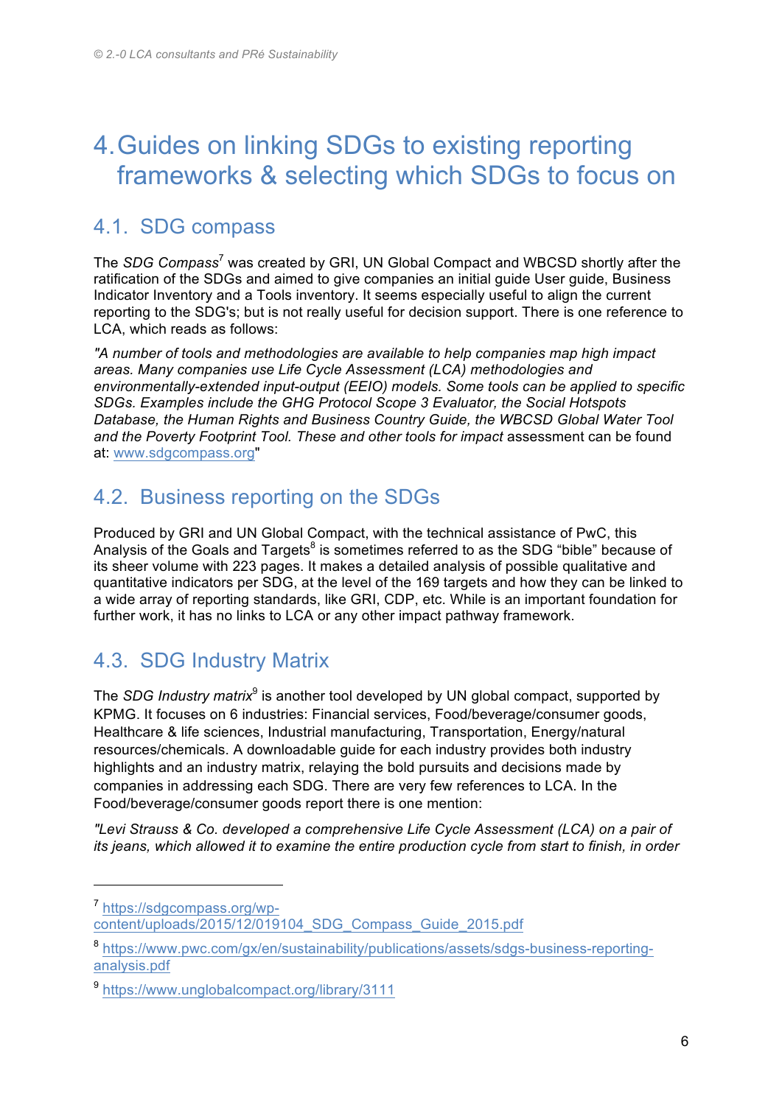### 4.Guides on linking SDGs to existing reporting frameworks & selecting which SDGs to focus on

#### 4.1. SDG compass

The *SDG Compass*<sup>7</sup> was created by GRI, UN Global Compact and WBCSD shortly after the ratification of the SDGs and aimed to give companies an initial guide User guide, Business Indicator Inventory and a Tools inventory. It seems especially useful to align the current reporting to the SDG's; but is not really useful for decision support. There is one reference to LCA, which reads as follows:

*"A number of tools and methodologies are available to help companies map high impact areas. Many companies use Life Cycle Assessment (LCA) methodologies and environmentally-extended input-output (EEIO) models. Some tools can be applied to specific SDGs. Examples include the GHG Protocol Scope 3 Evaluator, the Social Hotspots Database, the Human Rights and Business Country Guide, the WBCSD Global Water Tool and the Poverty Footprint Tool. These and other tools for impact* assessment can be found at: www.sdgcompass.org"

#### 4.2. Business reporting on the SDGs

Produced by GRI and UN Global Compact, with the technical assistance of PwC, this Analysis of the Goals and Targets<sup>8</sup> is sometimes referred to as the SDG "bible" because of its sheer volume with 223 pages. It makes a detailed analysis of possible qualitative and quantitative indicators per SDG, at the level of the 169 targets and how they can be linked to a wide array of reporting standards, like GRI, CDP, etc. While is an important foundation for further work, it has no links to LCA or any other impact pathway framework.

### 4.3. SDG Industry Matrix

The *SDG Industry matrix<sup>9</sup>* is another tool developed by UN global compact, supported by KPMG. It focuses on 6 industries: Financial services, Food/beverage/consumer goods, Healthcare & life sciences, Industrial manufacturing, Transportation, Energy/natural resources/chemicals. A downloadable guide for each industry provides both industry highlights and an industry matrix, relaying the bold pursuits and decisions made by companies in addressing each SDG. There are very few references to LCA. In the Food/beverage/consumer goods report there is one mention:

*"Levi Strauss & Co. developed a comprehensive Life Cycle Assessment (LCA) on a pair of its jeans, which allowed it to examine the entire production cycle from start to finish, in order* 

<sup>7</sup> https://sdgcompass.org/wpcontent/uploads/2015/12/019104\_SDG\_Compass\_Guide\_2015.pdf

<sup>8</sup> https://www.pwc.com/gx/en/sustainability/publications/assets/sdgs-business-reportinganalysis.pdf

<sup>9</sup> https://www.unglobalcompact.org/library/3111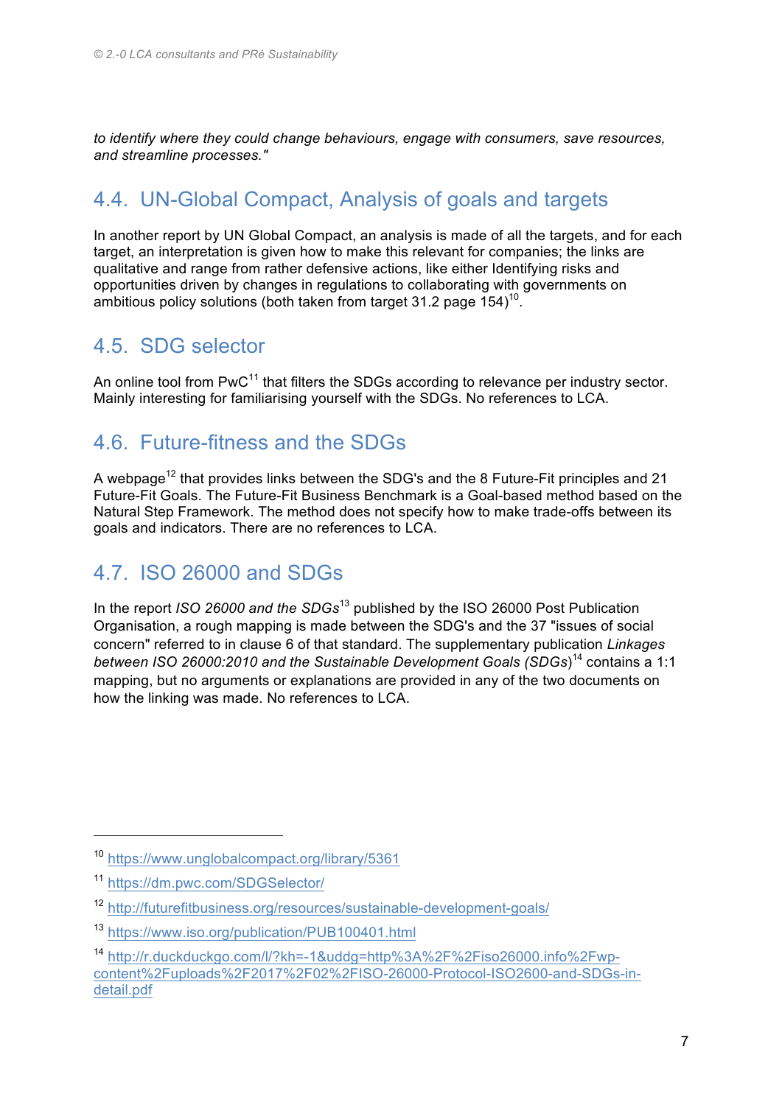*to identify where they could change behaviours, engage with consumers, save resources, and streamline processes."*

#### 4.4. UN-Global Compact, Analysis of goals and targets

In another report by UN Global Compact, an analysis is made of all the targets, and for each target, an interpretation is given how to make this relevant for companies; the links are qualitative and range from rather defensive actions, like either Identifying risks and opportunities driven by changes in regulations to collaborating with governments on ambitious policy solutions (both taken from target 31.2 page 154)<sup>10</sup>.

#### 4.5. SDG selector

An online tool from PwC<sup>11</sup> that filters the SDGs according to relevance per industry sector. Mainly interesting for familiarising yourself with the SDGs. No references to LCA.

#### 4.6. Future-fitness and the SDGs

A webpage<sup>12</sup> that provides links between the SDG's and the 8 Future-Fit principles and 21 Future-Fit Goals. The Future-Fit Business Benchmark is a Goal-based method based on the Natural Step Framework. The method does not specify how to make trade-offs between its goals and indicators. There are no references to LCA.

#### 4.7. ISO 26000 and SDGs

In the report *ISO 26000 and the SDGs*<sup>13</sup> published by the ISO 26000 Post Publication Organisation, a rough mapping is made between the SDG's and the 37 "issues of social concern" referred to in clause 6 of that standard. The supplementary publication *Linkages between ISO 26000:2010 and the Sustainable Development Goals (SDGs*) <sup>14</sup> contains a 1:1 mapping, but no arguments or explanations are provided in any of the two documents on how the linking was made. No references to LCA.

<sup>10</sup> https://www.unglobalcompact.org/library/5361

<sup>11</sup> https://dm.pwc.com/SDGSelector/

<sup>12</sup> http://futurefitbusiness.org/resources/sustainable-development-goals/

<sup>13</sup> https://www.iso.org/publication/PUB100401.html

<sup>14</sup> http://r.duckduckgo.com/l/?kh=-1&uddg=http%3A%2F%2Fiso26000.info%2Fwpcontent%2Fuploads%2F2017%2F02%2FISO-26000-Protocol-ISO2600-and-SDGs-indetail.pdf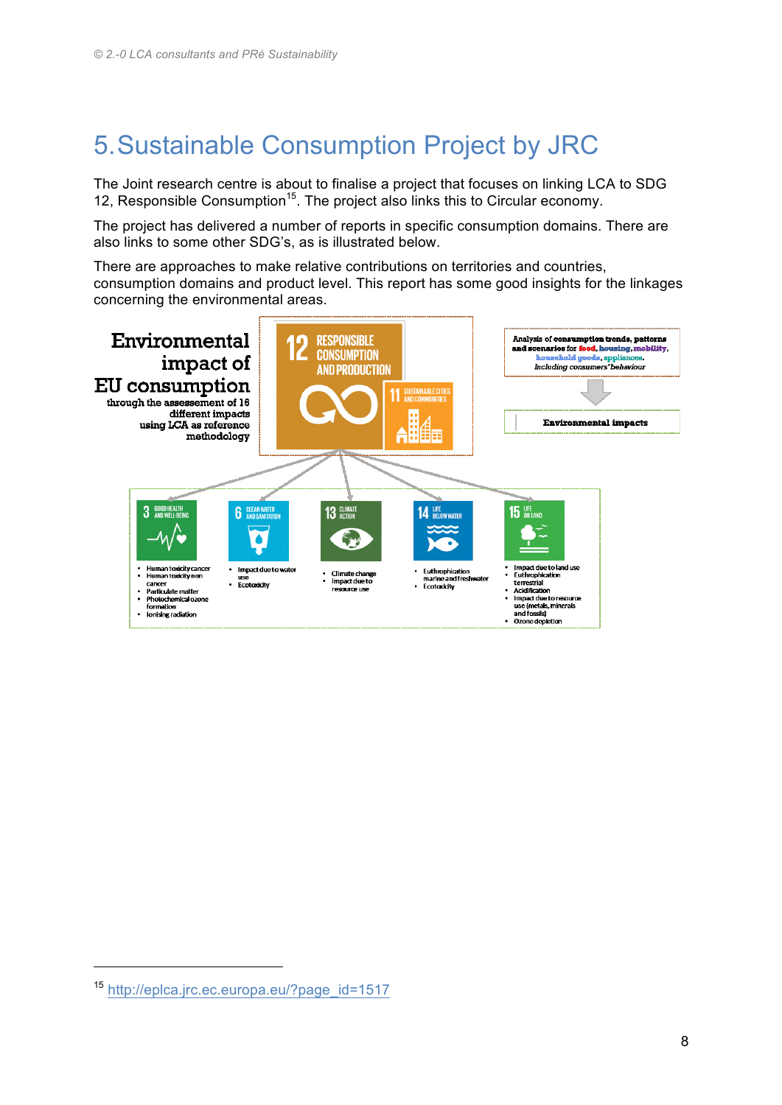### 5.Sustainable Consumption Project by JRC

The Joint research centre is about to finalise a project that focuses on linking LCA to SDG 12, Responsible Consumption<sup>15</sup>. The project also links this to Circular economy.

The project has delivered a number of reports in specific consumption domains. There are also links to some other SDG's, as is illustrated below.

There are approaches to make relative contributions on territories and countries, consumption domains and product level. This report has some good insights for the linkages concerning the environmental areas.



<sup>15</sup> http://eplca.jrc.ec.europa.eu/?page\_id=1517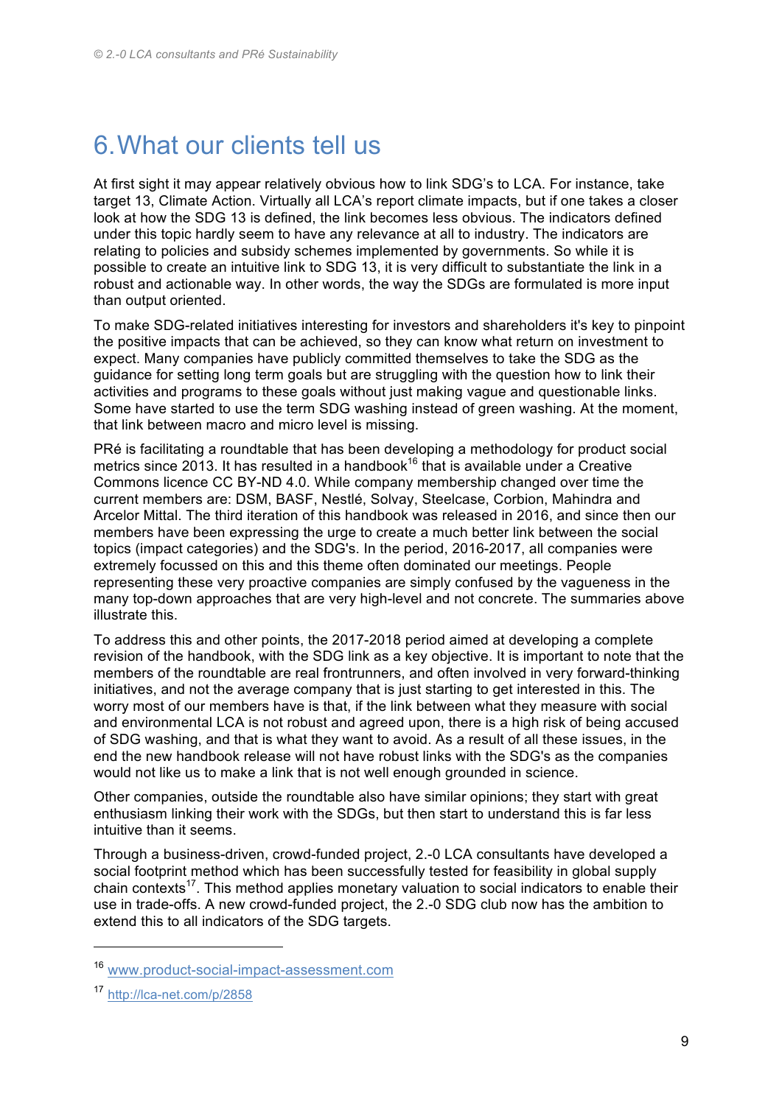### 6.What our clients tell us

At first sight it may appear relatively obvious how to link SDG's to LCA. For instance, take target 13, Climate Action. Virtually all LCA's report climate impacts, but if one takes a closer look at how the SDG 13 is defined, the link becomes less obvious. The indicators defined under this topic hardly seem to have any relevance at all to industry. The indicators are relating to policies and subsidy schemes implemented by governments. So while it is possible to create an intuitive link to SDG 13, it is very difficult to substantiate the link in a robust and actionable way. In other words, the way the SDGs are formulated is more input than output oriented.

To make SDG-related initiatives interesting for investors and shareholders it's key to pinpoint the positive impacts that can be achieved, so they can know what return on investment to expect. Many companies have publicly committed themselves to take the SDG as the guidance for setting long term goals but are struggling with the question how to link their activities and programs to these goals without just making vague and questionable links. Some have started to use the term SDG washing instead of green washing. At the moment, that link between macro and micro level is missing.

PRé is facilitating a roundtable that has been developing a methodology for product social metrics since 2013. It has resulted in a handbook<sup>16</sup> that is available under a Creative Commons licence CC BY-ND 4.0. While company membership changed over time the current members are: DSM, BASF, Nestlé, Solvay, Steelcase, Corbion, Mahindra and Arcelor Mittal. The third iteration of this handbook was released in 2016, and since then our members have been expressing the urge to create a much better link between the social topics (impact categories) and the SDG's. In the period, 2016-2017, all companies were extremely focussed on this and this theme often dominated our meetings. People representing these very proactive companies are simply confused by the vagueness in the many top-down approaches that are very high-level and not concrete. The summaries above illustrate this.

To address this and other points, the 2017-2018 period aimed at developing a complete revision of the handbook, with the SDG link as a key objective. It is important to note that the members of the roundtable are real frontrunners, and often involved in very forward-thinking initiatives, and not the average company that is just starting to get interested in this. The worry most of our members have is that, if the link between what they measure with social and environmental LCA is not robust and agreed upon, there is a high risk of being accused of SDG washing, and that is what they want to avoid. As a result of all these issues, in the end the new handbook release will not have robust links with the SDG's as the companies would not like us to make a link that is not well enough grounded in science.

Other companies, outside the roundtable also have similar opinions; they start with great enthusiasm linking their work with the SDGs, but then start to understand this is far less intuitive than it seems.

Through a business-driven, crowd-funded project, 2.-0 LCA consultants have developed a social footprint method which has been successfully tested for feasibility in global supply chain contexts<sup>17</sup>. This method applies monetary valuation to social indicators to enable their use in trade-offs. A new crowd-funded project, the 2.-0 SDG club now has the ambition to extend this to all indicators of the SDG targets.

<sup>16</sup> www.product-social-impact-assessment.com

<sup>17</sup> http://lca-net.com/p/2858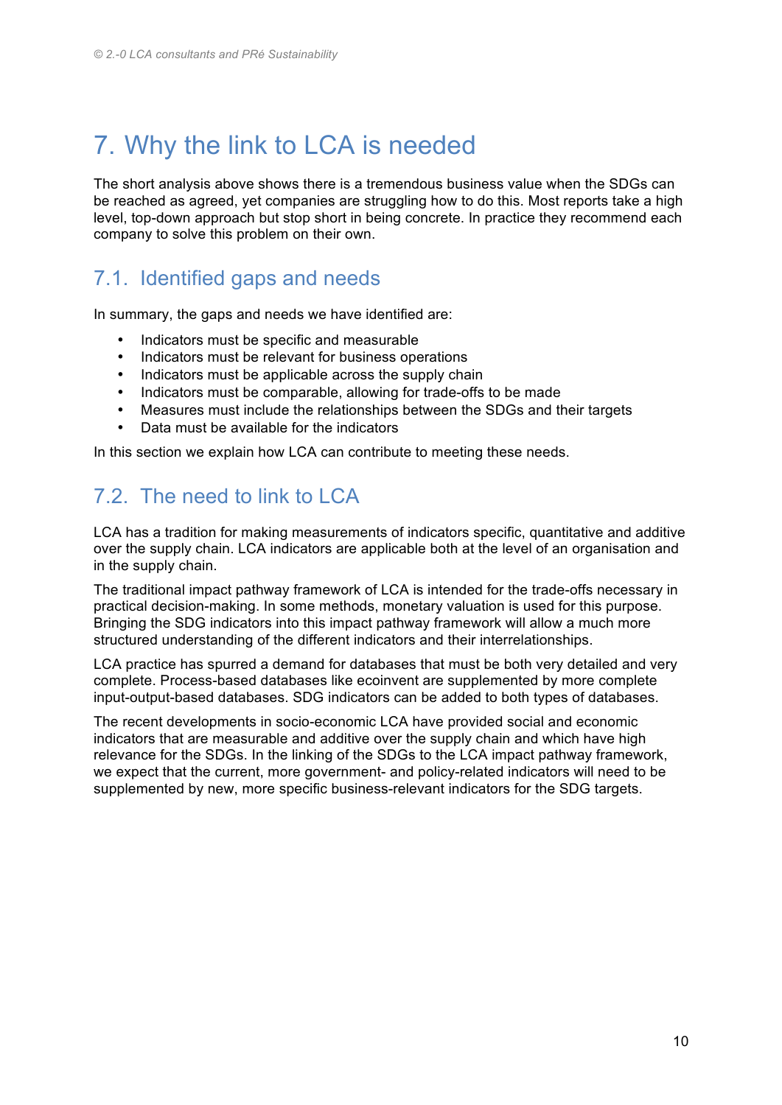### 7. Why the link to LCA is needed

The short analysis above shows there is a tremendous business value when the SDGs can be reached as agreed, yet companies are struggling how to do this. Most reports take a high level, top-down approach but stop short in being concrete. In practice they recommend each company to solve this problem on their own.

#### 7.1. Identified gaps and needs

In summary, the gaps and needs we have identified are:

- Indicators must be specific and measurable
- Indicators must be relevant for business operations
- Indicators must be applicable across the supply chain
- Indicators must be comparable, allowing for trade-offs to be made
- Measures must include the relationships between the SDGs and their targets
- Data must be available for the indicators

In this section we explain how LCA can contribute to meeting these needs.

#### 7.2. The need to link to LCA

LCA has a tradition for making measurements of indicators specific, quantitative and additive over the supply chain. LCA indicators are applicable both at the level of an organisation and in the supply chain.

The traditional impact pathway framework of LCA is intended for the trade-offs necessary in practical decision-making. In some methods, monetary valuation is used for this purpose. Bringing the SDG indicators into this impact pathway framework will allow a much more structured understanding of the different indicators and their interrelationships.

LCA practice has spurred a demand for databases that must be both very detailed and very complete. Process-based databases like ecoinvent are supplemented by more complete input-output-based databases. SDG indicators can be added to both types of databases.

The recent developments in socio-economic LCA have provided social and economic indicators that are measurable and additive over the supply chain and which have high relevance for the SDGs. In the linking of the SDGs to the LCA impact pathway framework, we expect that the current, more government- and policy-related indicators will need to be supplemented by new, more specific business-relevant indicators for the SDG targets.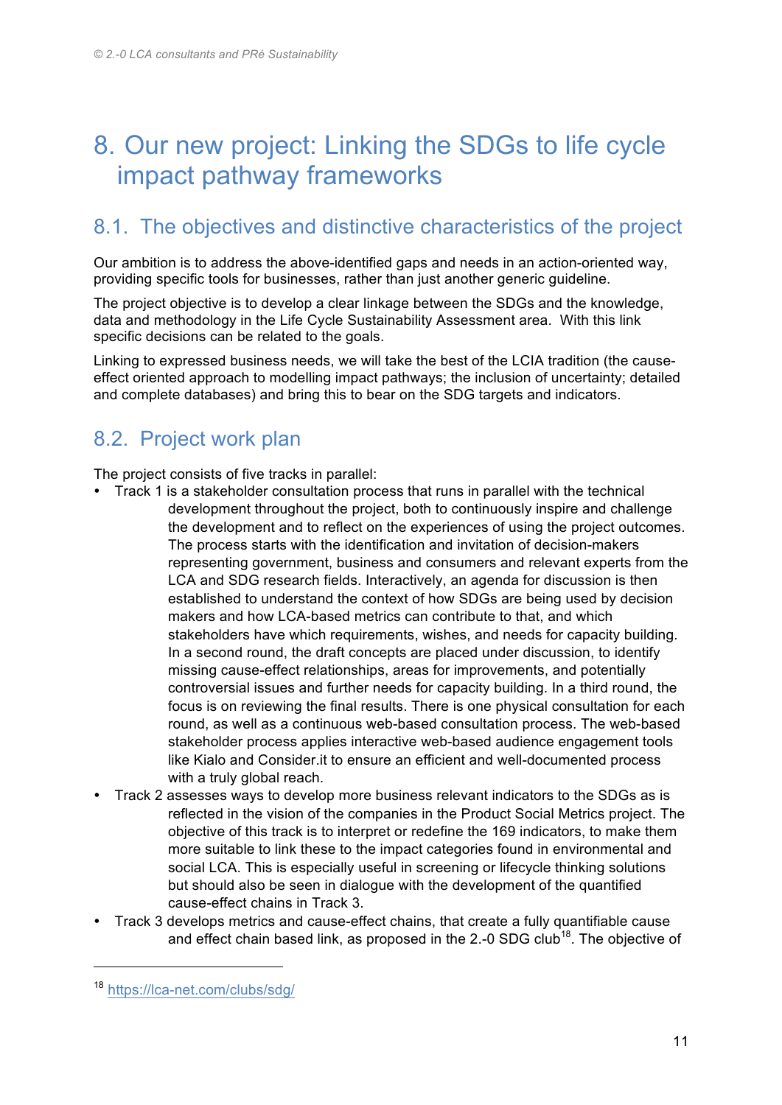### 8. Our new project: Linking the SDGs to life cycle impact pathway frameworks

#### 8.1. The objectives and distinctive characteristics of the project

Our ambition is to address the above-identified gaps and needs in an action-oriented way, providing specific tools for businesses, rather than just another generic guideline.

The project objective is to develop a clear linkage between the SDGs and the knowledge, data and methodology in the Life Cycle Sustainability Assessment area. With this link specific decisions can be related to the goals.

Linking to expressed business needs, we will take the best of the LCIA tradition (the causeeffect oriented approach to modelling impact pathways; the inclusion of uncertainty; detailed and complete databases) and bring this to bear on the SDG targets and indicators.

#### 8.2. Project work plan

The project consists of five tracks in parallel:

- Track 1 is a stakeholder consultation process that runs in parallel with the technical development throughout the project, both to continuously inspire and challenge the development and to reflect on the experiences of using the project outcomes. The process starts with the identification and invitation of decision-makers representing government, business and consumers and relevant experts from the LCA and SDG research fields. Interactively, an agenda for discussion is then established to understand the context of how SDGs are being used by decision makers and how LCA-based metrics can contribute to that, and which stakeholders have which requirements, wishes, and needs for capacity building. In a second round, the draft concepts are placed under discussion, to identify missing cause-effect relationships, areas for improvements, and potentially controversial issues and further needs for capacity building. In a third round, the focus is on reviewing the final results. There is one physical consultation for each round, as well as a continuous web-based consultation process. The web-based stakeholder process applies interactive web-based audience engagement tools like Kialo and Consider.it to ensure an efficient and well-documented process with a truly global reach.
- Track 2 assesses ways to develop more business relevant indicators to the SDGs as is reflected in the vision of the companies in the Product Social Metrics project. The objective of this track is to interpret or redefine the 169 indicators, to make them more suitable to link these to the impact categories found in environmental and social LCA. This is especially useful in screening or lifecycle thinking solutions but should also be seen in dialogue with the development of the quantified cause-effect chains in Track 3.
- Track 3 develops metrics and cause-effect chains, that create a fully quantifiable cause and effect chain based link, as proposed in the 2.-0 SDG club<sup>18</sup>. The objective of

<sup>18</sup> https://lca-net.com/clubs/sdg/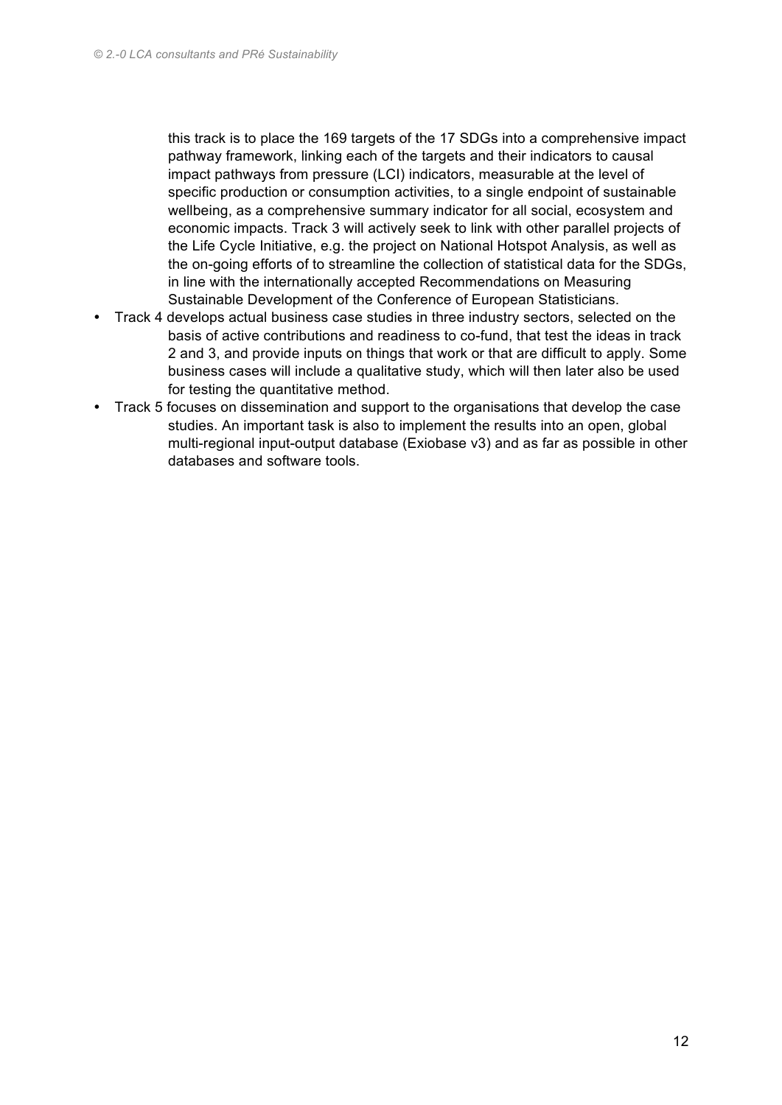this track is to place the 169 targets of the 17 SDGs into a comprehensive impact pathway framework, linking each of the targets and their indicators to causal impact pathways from pressure (LCI) indicators, measurable at the level of specific production or consumption activities, to a single endpoint of sustainable wellbeing, as a comprehensive summary indicator for all social, ecosystem and economic impacts. Track 3 will actively seek to link with other parallel projects of the Life Cycle Initiative, e.g. the project on National Hotspot Analysis, as well as the on-going efforts of to streamline the collection of statistical data for the SDGs, in line with the internationally accepted Recommendations on Measuring Sustainable Development of the Conference of European Statisticians.

- Track 4 develops actual business case studies in three industry sectors, selected on the basis of active contributions and readiness to co-fund, that test the ideas in track 2 and 3, and provide inputs on things that work or that are difficult to apply. Some business cases will include a qualitative study, which will then later also be used for testing the quantitative method.
- Track 5 focuses on dissemination and support to the organisations that develop the case studies. An important task is also to implement the results into an open, global multi-regional input-output database (Exiobase v3) and as far as possible in other databases and software tools.